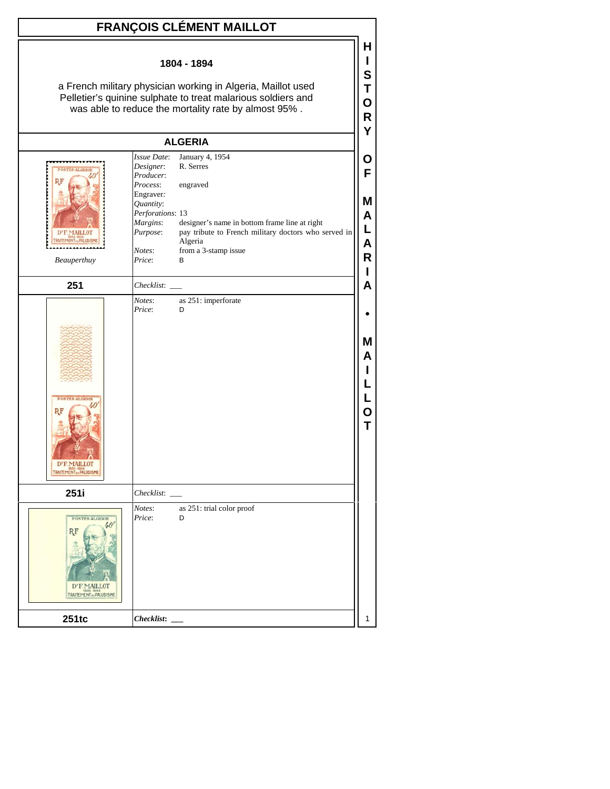| 1804 - 1894<br>a French military physician working in Algeria, Maillot used<br>Pelletier's quinine sulphate to treat malarious soldiers and<br>was able to reduce the mortality rate by almost 95%.                                                                                                                                                                    | н<br>S<br>Т<br>O<br>R<br>Y      |
|------------------------------------------------------------------------------------------------------------------------------------------------------------------------------------------------------------------------------------------------------------------------------------------------------------------------------------------------------------------------|---------------------------------|
|                                                                                                                                                                                                                                                                                                                                                                        |                                 |
| <b>ALGERIA</b>                                                                                                                                                                                                                                                                                                                                                         |                                 |
| January 4, 1954<br>Issue Date:<br>Designer:<br>R. Serres<br>Producer:<br>Process:<br>engraved<br>Engraver:<br>Quantity:<br>Perforations: 13<br>designer's name in bottom frame line at right<br>Margins:<br>pay tribute to French military doctors who served in<br>Purpose:<br>D'E MAILLOT<br>Algeria<br>from a 3-stamp issue<br>Notes:<br>Price:<br>Beauperthuy<br>В | Ő<br>F<br>M<br>A<br>L<br>Α<br>R |
| 251<br>Checklist:                                                                                                                                                                                                                                                                                                                                                      | А                               |
| Notes:<br>as 251: imperforate<br>Price:<br>D<br><b>POSTES-ALGERIE</b><br>RF<br>D'E.MAILLOT                                                                                                                                                                                                                                                                             | М<br>А                          |
| 251i<br>Checklist:<br>Notes:<br>as 251: trial color proof<br>Price:<br>POSTES-ALGERIE<br>D<br>D' F. MAILLOT<br>TRAITEMENT DUPALUDISME<br>251tc                                                                                                                                                                                                                         | 1                               |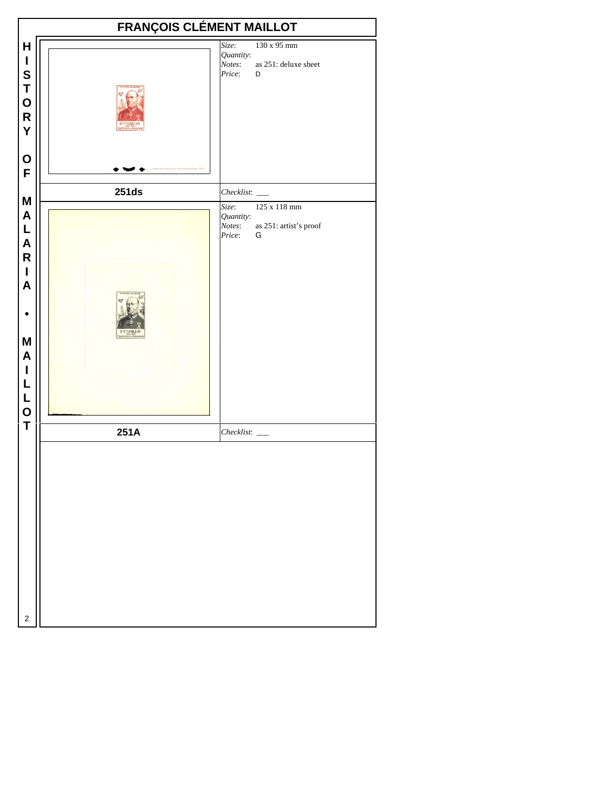|                                                                                                                                                       | <b>FRANÇOIS CLÉMENT MAILLOT</b> |                                                               |                                             |  |  |
|-------------------------------------------------------------------------------------------------------------------------------------------------------|---------------------------------|---------------------------------------------------------------|---------------------------------------------|--|--|
| $\mathsf H$<br>$\mathsf I$<br>S<br>T<br>O<br>R<br>Y                                                                                                   |                                 | Size:<br>Quantity:<br>Notes:<br>Price:                        | 130 x 95 mm<br>as 251: deluxe sheet<br>D    |  |  |
| $\mathbf 0$<br>F                                                                                                                                      |                                 |                                                               |                                             |  |  |
| M<br>$\mathsf{A}$<br>L<br>$\mathsf{A}$<br>${\sf R}$<br>$\mathbf{I}$<br>$\boldsymbol{A}$<br>M<br>$\mathsf{A}$<br>$\mathsf I$<br>L<br>L<br>$\mathbf{o}$ | <b>251ds</b>                    | $Checklist:$ $\_\_$<br>Size:<br>Quantity:<br>Notes:<br>Price: | 125 x 118 mm<br>as 251: artist's proof<br>G |  |  |
| T                                                                                                                                                     | 251A                            |                                                               |                                             |  |  |
| 2                                                                                                                                                     |                                 |                                                               |                                             |  |  |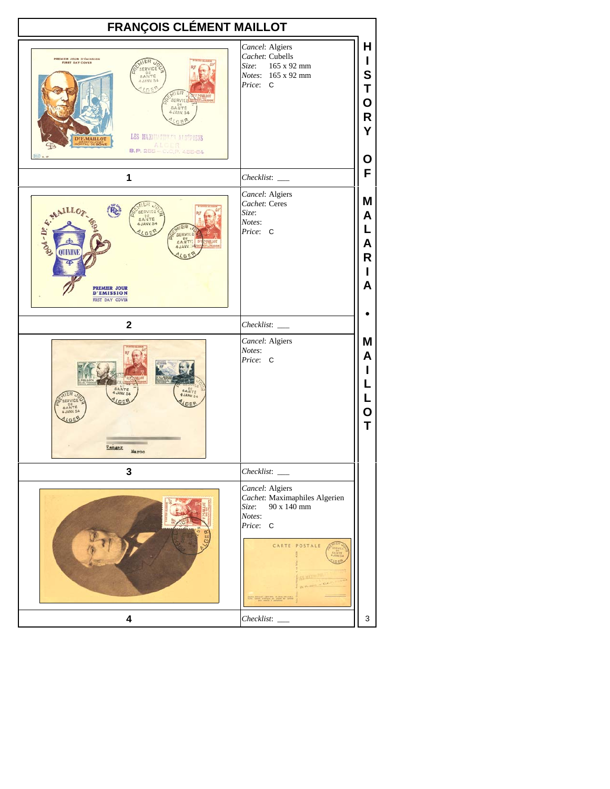| <b>FRANÇOIS CLÉMENT MAILLOT</b>                                                                                                                                                                                                           |                                                                                                                 |                                           |
|-------------------------------------------------------------------------------------------------------------------------------------------------------------------------------------------------------------------------------------------|-----------------------------------------------------------------------------------------------------------------|-------------------------------------------|
| <b>PREMIER JOUR D'ÉMISSION<br/>FIRST DAY COVER</b><br>SAN<br><b>AUANY 54</b><br><b>AIER</b><br>MAILLOT<br>SERVICE<br>SANTE<br>$4$ JANV. 54<br>LES MAXIMATING TALGEBLENS<br><b>DEF.MAILLOT</b><br><b>ALGER</b><br>B.P. 255 - C.C.P. 455-64 | Cancel: Algiers<br>Cachet: Cubells<br>Size:<br>165 x 92 mm<br>Notes: 165 x 92 mm<br>Price: C                    | н<br>L<br>S<br>T<br>O<br>R<br>Y           |
| $100 \times 17$                                                                                                                                                                                                                           |                                                                                                                 | Ο<br>F                                    |
| 1                                                                                                                                                                                                                                         | Checklist:                                                                                                      |                                           |
| E. MAILLON<br>SERVICE<br>SANTE<br>4 JANV. 54<br>GE<br><b>SERVIC!</b><br>GANTE DE<br>MAILLOT<br>A JANY.<br><b>PREMIER JOUR</b><br><b>D'EMISSION</b><br><b>RRST DAY COVER</b>                                                               | Cancel: Algiers<br>Cachet: Ceres<br>Size:<br>Notes:<br>Price: C                                                 | Μ<br>A<br>L<br>A<br>R<br>L<br>A           |
| $\mathbf 2$                                                                                                                                                                                                                               |                                                                                                                 |                                           |
| SANTÉ<br>SANTE<br>JANV. 54<br>JANY 54<br>SERVICI<br>SANTE<br>Tanger<br>Maroc                                                                                                                                                              | Cancel: Algiers<br>Notes:<br>Price: C                                                                           | Μ<br>A<br>L<br>L<br>L<br>$\mathbf O$<br>T |
| 3                                                                                                                                                                                                                                         |                                                                                                                 |                                           |
|                                                                                                                                                                                                                                           | Cancel: Algiers<br>Cachet: Maximaphiles Algerien<br>90 x 140 mm<br>Size:<br>Notes:<br>Price: C<br>CARTE POSTALE |                                           |
| 4                                                                                                                                                                                                                                         | Checklist:                                                                                                      | 3                                         |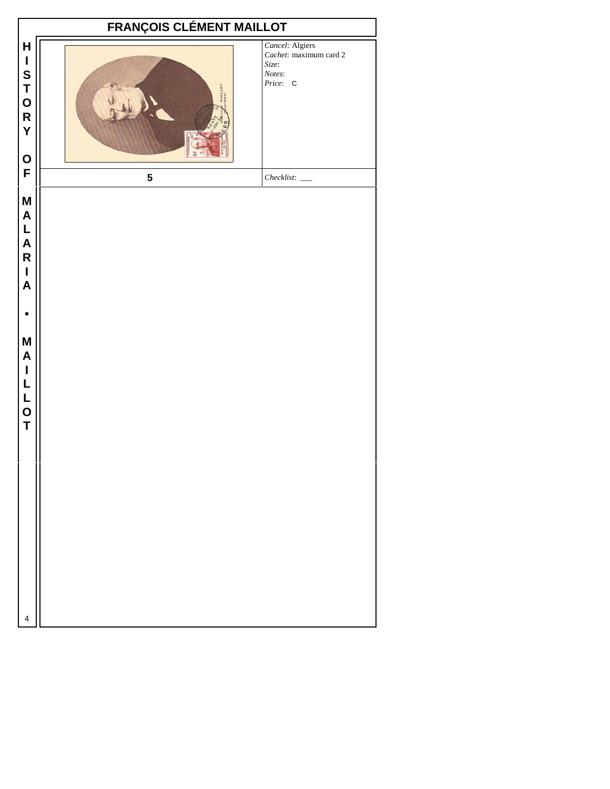| <b>FRANÇOIS CLÉMENT MAILLOT</b>                                                                                                                               |         |                                                                          |  |  |
|---------------------------------------------------------------------------------------------------------------------------------------------------------------|---------|--------------------------------------------------------------------------|--|--|
| $\mathsf{H}$<br>$\mathbf I$<br>S<br>T<br>O<br>R<br>Y<br>$\mathbf O$                                                                                           | MAILLOT | Cancel: Algiers<br>Cachet: maximum card 2<br>Size:<br>Notes:<br>Price: C |  |  |
| F                                                                                                                                                             | 5       |                                                                          |  |  |
| M<br>$\boldsymbol{\mathsf{A}}$<br>L<br>A<br>R<br>$\mathbf{I}$<br>$\boldsymbol{\mathsf{A}}$<br>M<br>$\mathsf{A}$<br>$\mathbf I$<br>$\mathsf{L}$<br>L<br>O<br>T |         |                                                                          |  |  |
| 4                                                                                                                                                             |         |                                                                          |  |  |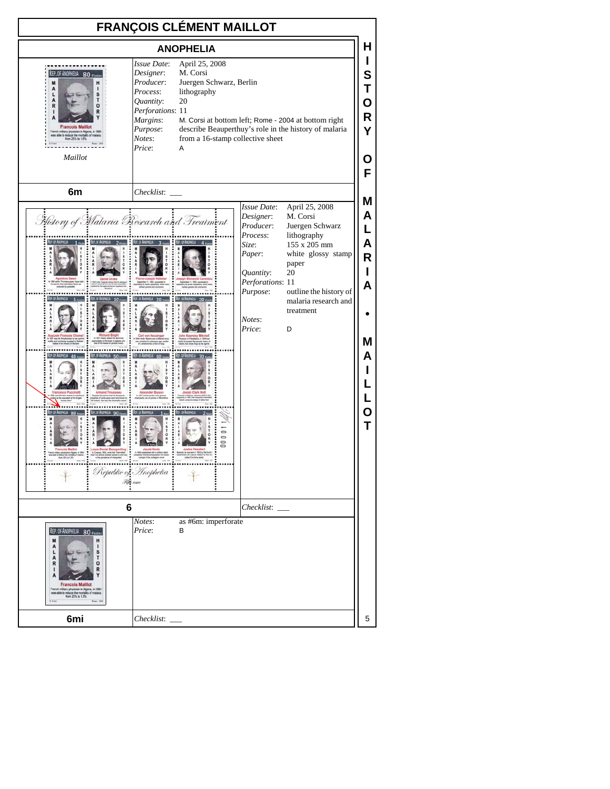